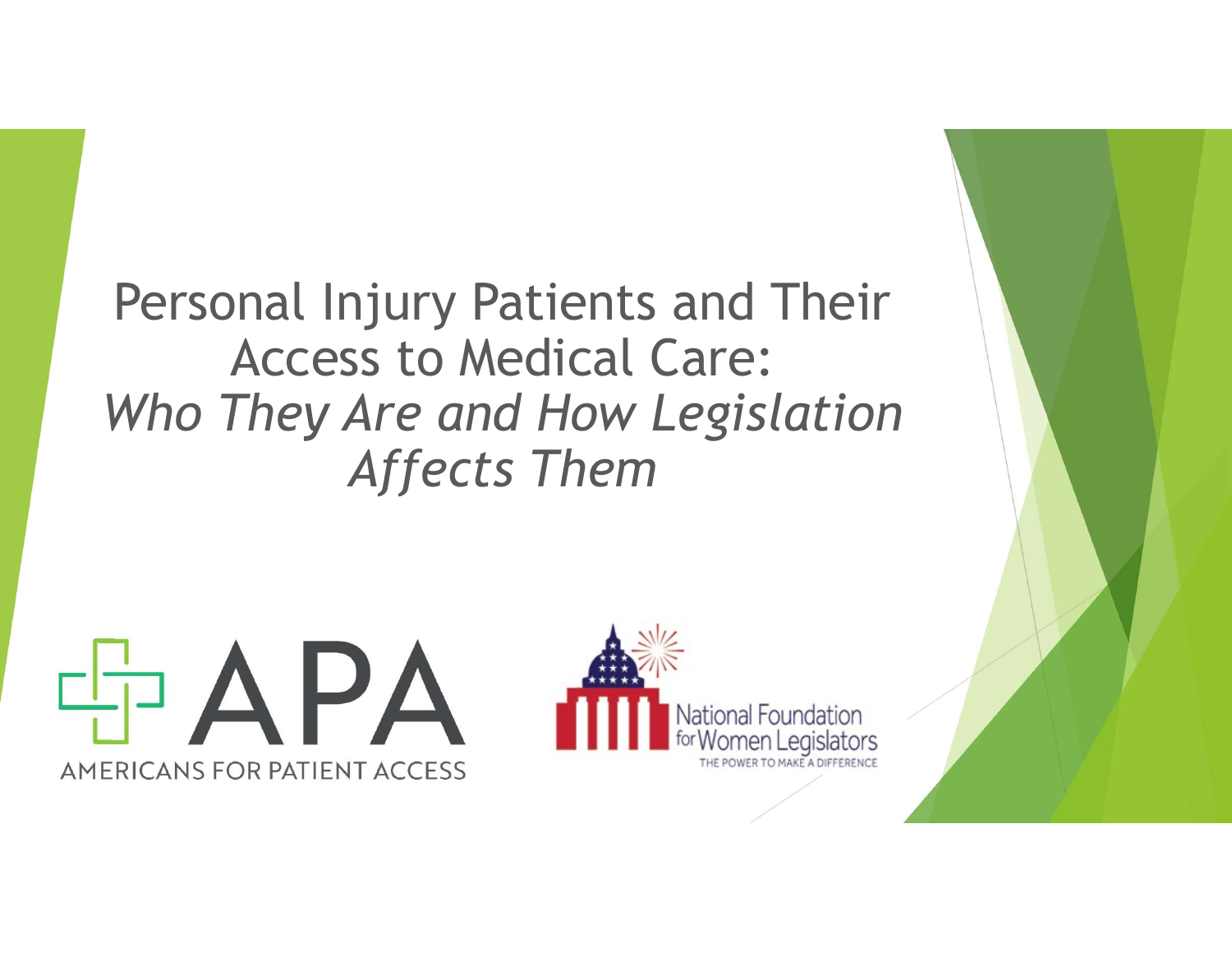Personal Injury Patients and Their Access to Medical Care: Who They Are and How Legislation Affects Them



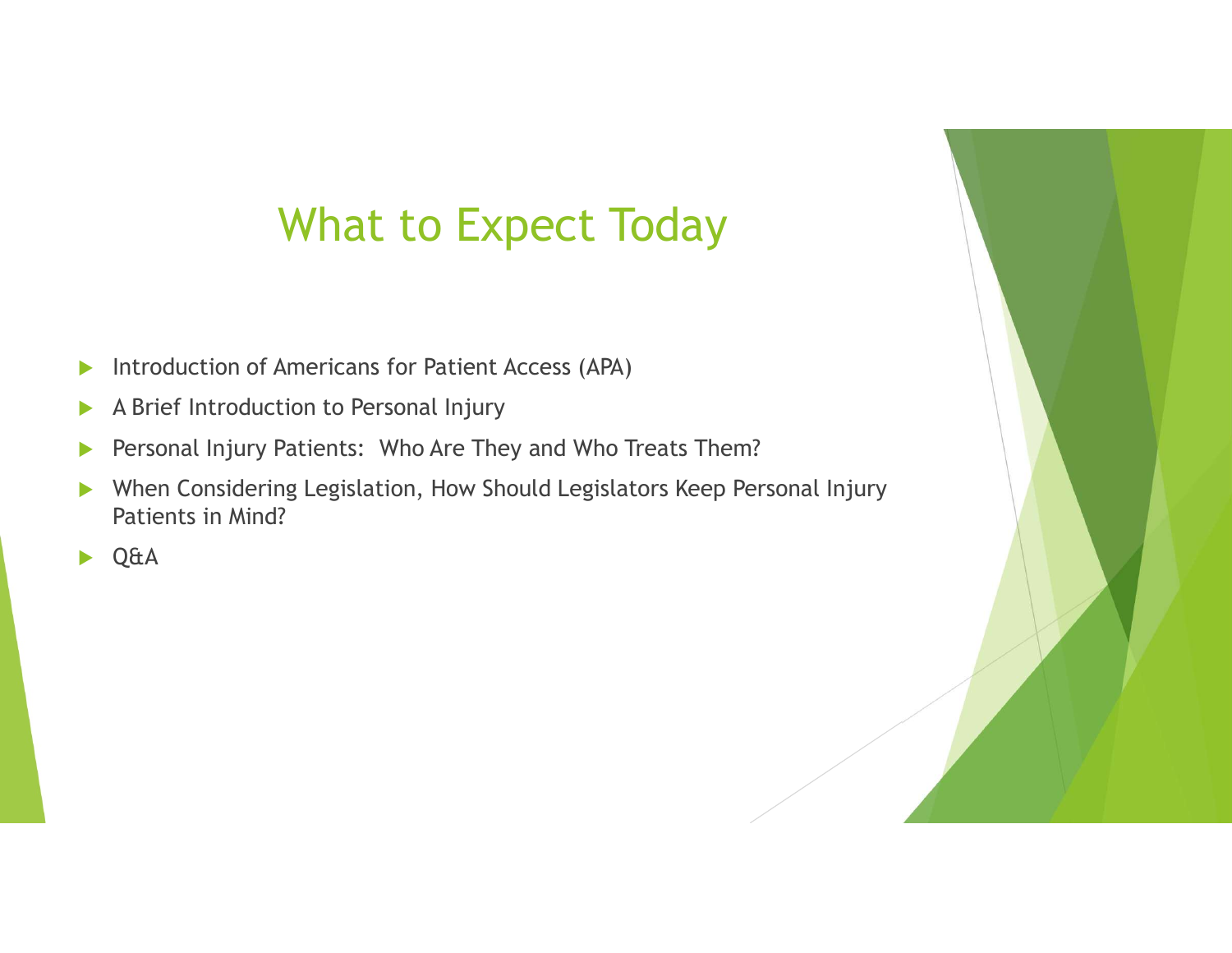## What to Expect Today

- Introduction of Americans for Patient Access (APA)
- A Brief Introduction to Personal Injury
- **Personal Injury Patients: Who Are They and Who Treats Them?**
- When Considering Legislation, How Should Legislators Keep Personal Injury Patients in Mind?
- ▶ Q&A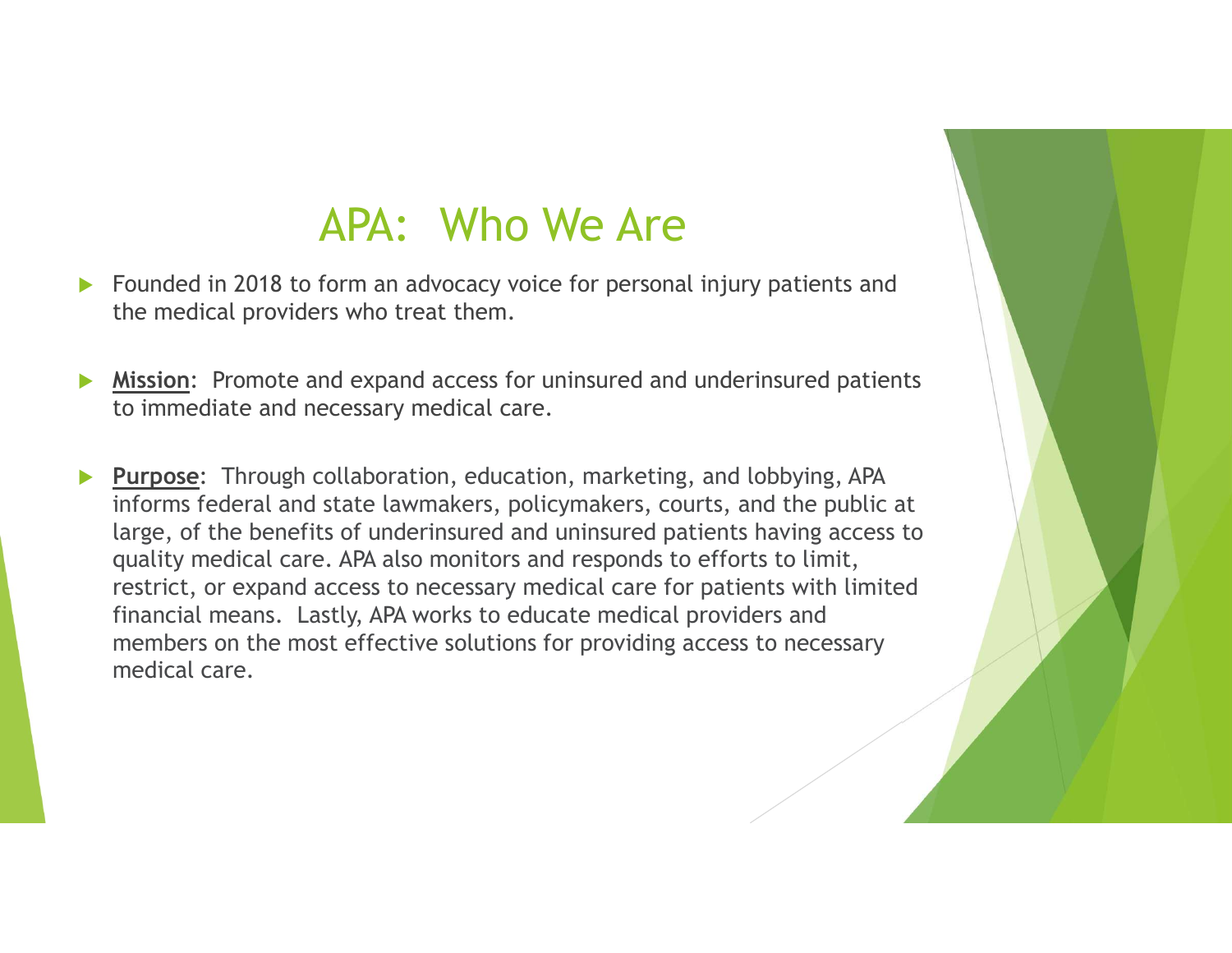### APA: Who We Are

- Founded in 2018 to form an advocacy voice for personal injury patients and the medical providers who treat them.
- Mission: Promote and expand access for uninsured and underinsured patients to immediate and necessary medical care.
- **Purpose:** Through collaboration, education, marketing, and lobbying, APA informs federal and state lawmakers, policymakers, courts, and the public at large, of the benefits of underinsured and uninsured patients having access to quality medical care. APA also monitors and responds to efforts to limit, restrict, or expand access to necessary medical care for patients with limited **APA:** Who We Are<br>Founded in 2018 to form an advocacy voice for personal injury patients and<br>the medical providers who treat them.<br><u>Mission</u>: Promote and expand access for uninsured and underinsured patients<br>to immediate a members on the most effective solutions for providing access to necessary medical care.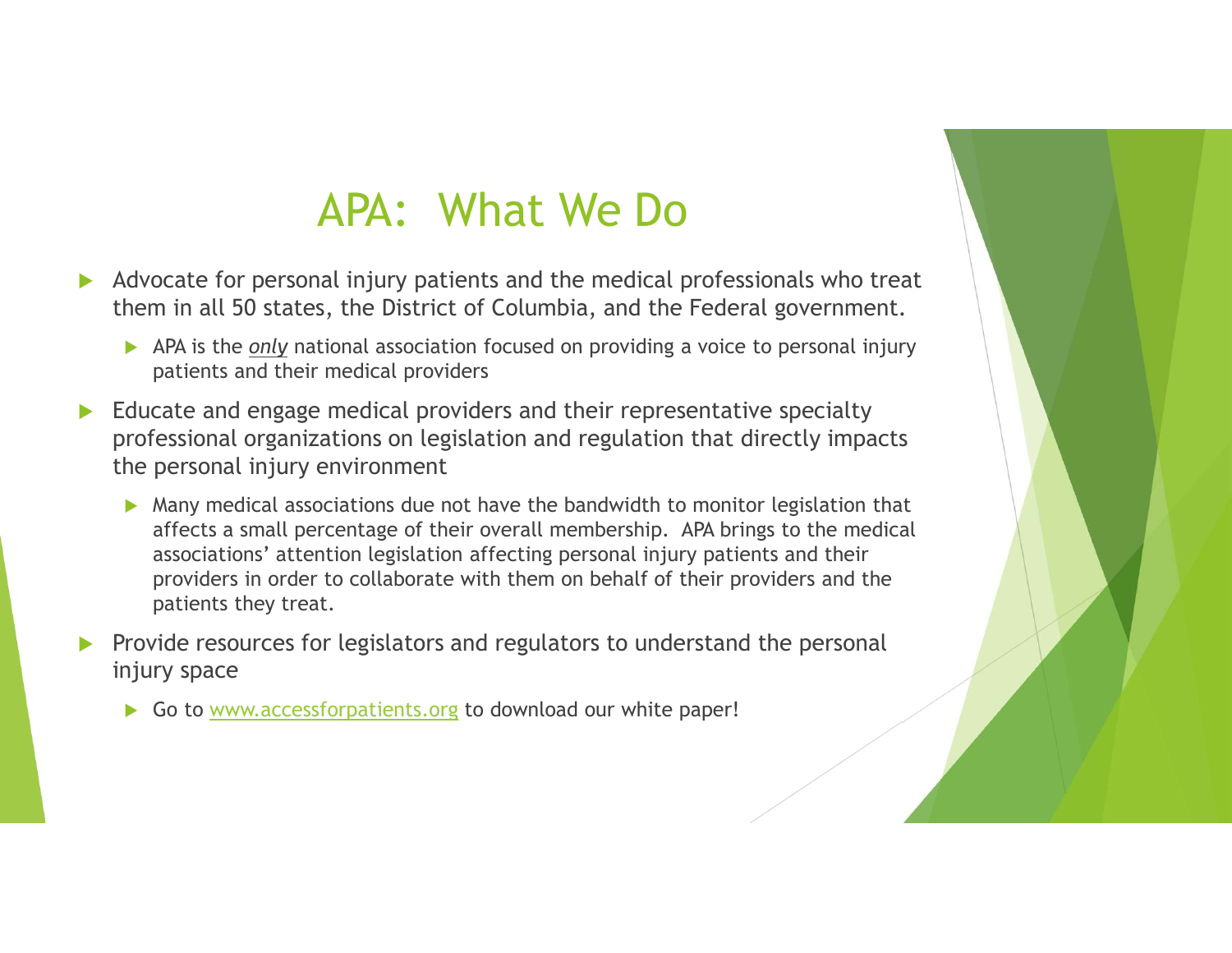# APA: What We Do

- Advocate for personal injury patients and the medical professionals who treat them in all 50 states, the District of Columbia, and the Federal government.
	- APA is the only national association focused on providing a voice to personal injury patients and their medical providers
- Educate and engage medical providers and their representative specialty professional organizations on legislation and regulation that directly impacts the personal injury environment
	- Many medical associations due not have the bandwidth to monitor legislation that affects a small percentage of their overall membership. APA brings to the medical associations' attention legislation affecting personal injury patients and their providers in order to collaborate with them on behalf of their providers and the patients they treat.
- Provide resources for legislators and regulators to understand the personal injury space
	- Go to www.accessforpatients.org to download our white paper!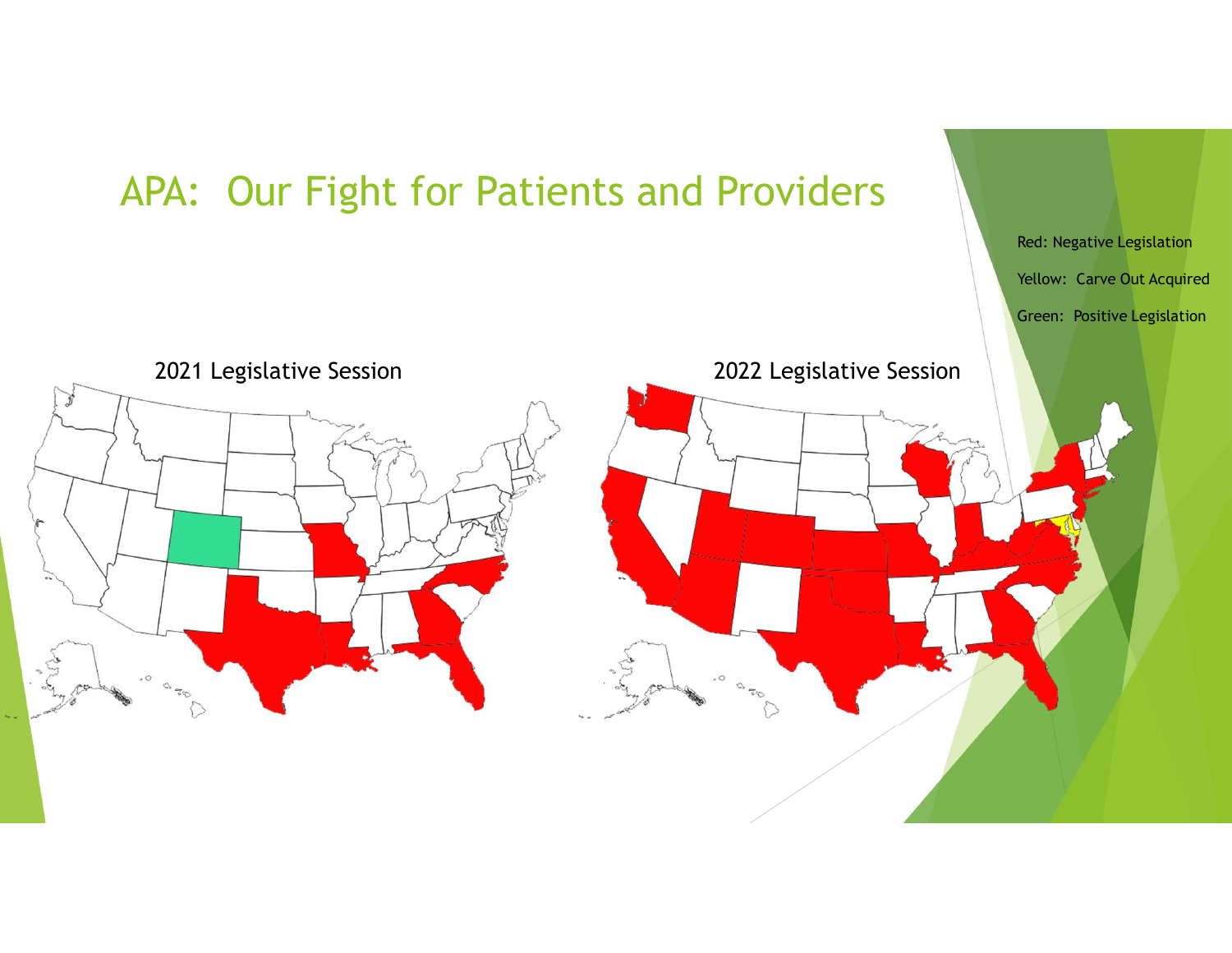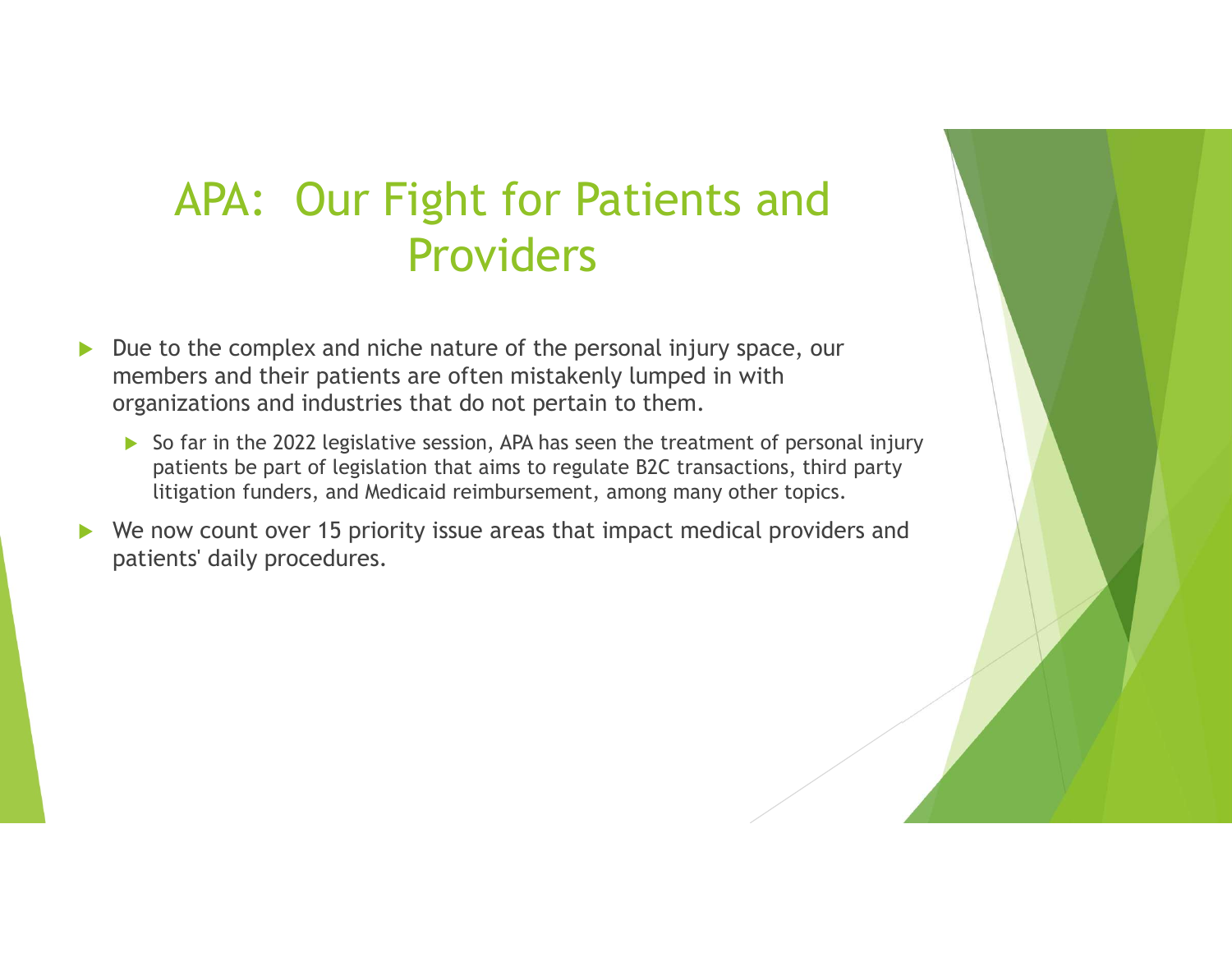### APA: Our Fight for Patients and **Providers**

- $\triangleright$  Due to the complex and niche nature of the personal injury space, our members and their patients are often mistakenly lumped in with organizations and industries that do not pertain to them.
	- $\triangleright$  So far in the 2022 legislative session, APA has seen the treatment of personal injury patients be part of legislation that aims to regulate B2C transactions, third party litigation funders, and Medicaid reimbursement, among many other topics.
- We now count over 15 priority issue areas that impact medical providers and patients' daily procedures.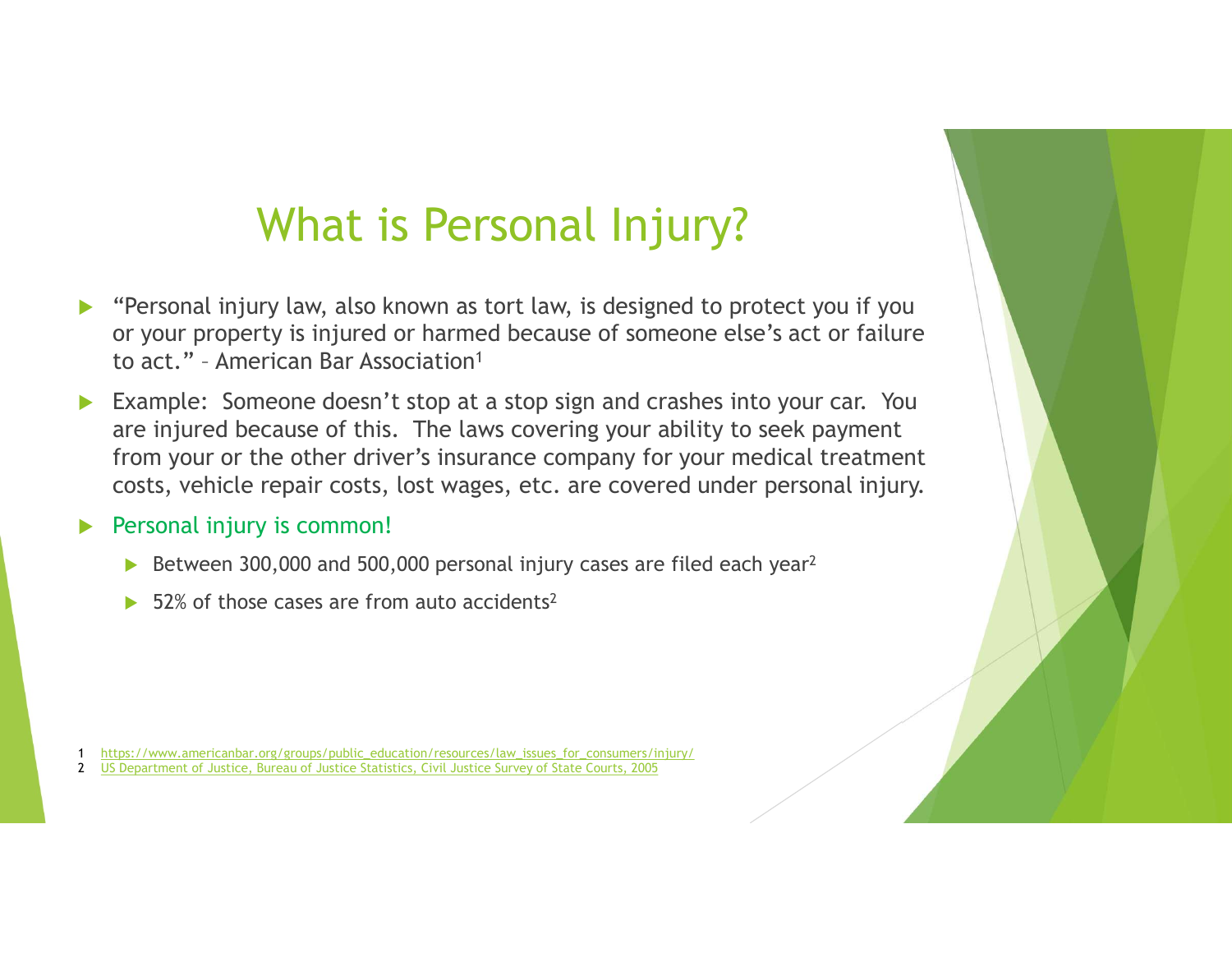# What is Personal Injury?

- "Personal injury law, also known as tort law, is designed to protect you if you or your property is injured or harmed because of someone else's act or failure **What is Personal Injury?**<br>
"Personal injury law, also known as tort law, is designed to p<br>
or your property is injured or harmed because of someone el<br>
to act." - American Bar Association<sup>1</sup><br>
Example: Someone doesn't stop
- Example: Someone doesn't stop at a stop sign and crashes into your car. You are injured because of this. The laws covering your ability to seek payment from your or the other driver's insurance company for your medical treatment costs, vehicle repair costs, lost wages, etc. are covered under personal injury.

#### Personal injury is common!

- Between 300,000 and 500,000 personal injury cases are filed each year<sup>2</sup>
- 52% of those cases are from auto accidents<sup>2</sup>

1 https://www.americanbar.org/groups/public\_education/resources/law\_issues\_for\_consumers/injury/

2 US Department of Justice, Bureau of Justice Statistics, Civil Justice Survey of State Courts, 2005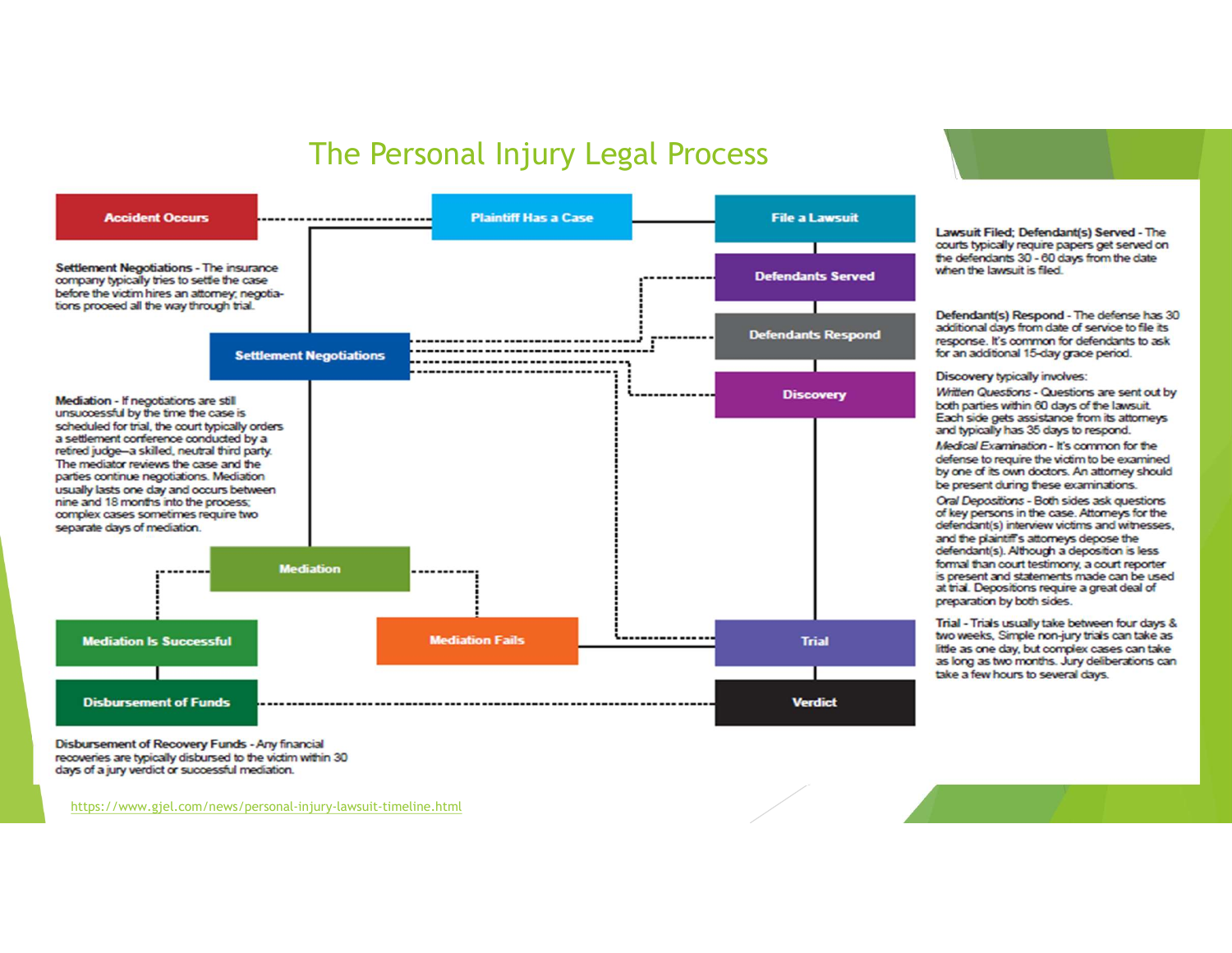### The Personal Injury Legal Process



courts typically require papers get served on the defendants 30 - 60 days from the date when the lawsuit is filed.

Lawsuit Filed: Defendant(s) Served - The

Defendant(s) Respond - The defense has 30 additional days from date of service to file its response. It's common for defendants to ask for an additional 15-day grace period.

Discovery typically involves:

Written Questions - Questions are sent out by both parties within 60 days of the lawsuit. Each side gets assistance from its attorneys and typically has 35 days to respond.

Medical Examination - It's common for the defense to require the victim to be examined by one of its own doctors. An attorney should be present during these examinations.

Oral Depositions - Both sides ask questions of key persons in the case. Attorneys for the defendant(s) interview victims and witnesses, and the plaintiff's attorneys depose the defendant(s). Although a deposition is less formal than court testimony, a court reporter is present and statements made can be used at trial. Depositions require a great deal of preparation by both sides.

Trial - Trials usually take between four days & two weeks. Simple non-jury trials can take as little as one day, but complex cases can take as long as two months. Jury deliberations can take a few hours to several days.

Disbursement of Recovery Funds - Any financial recoveries are typically disbursed to the victim within 30 days of a jury verdict or successful mediation.

https://www.gjel.com/news/personal-injury-lawsuit-timeline.html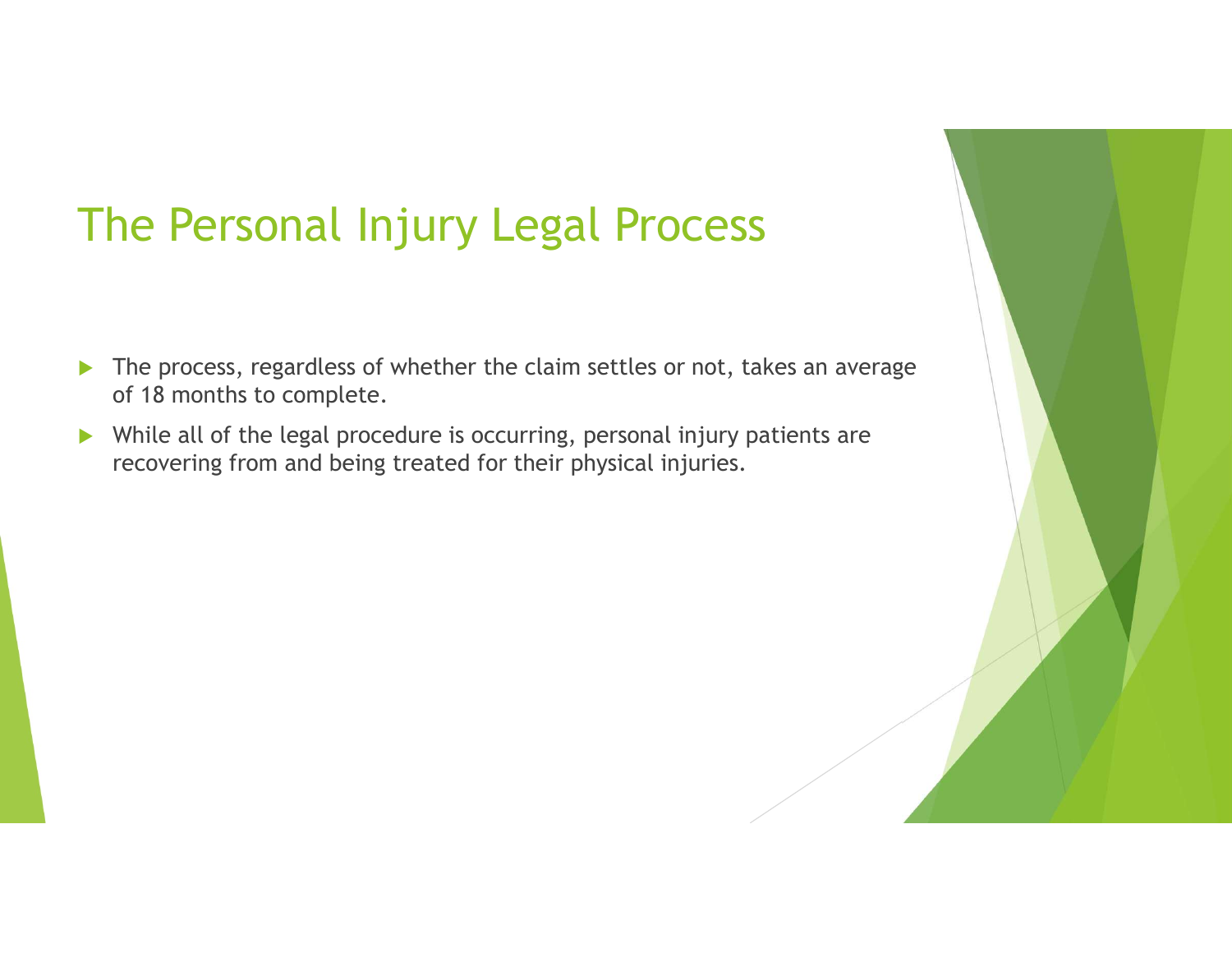# The Personal Injury Legal Process

- The process, regardless of whether the claim settles or not, takes an average of 18 months to complete.
- While all of the legal procedure is occurring, personal injury patients are recovering from and being treated for their physical injuries.

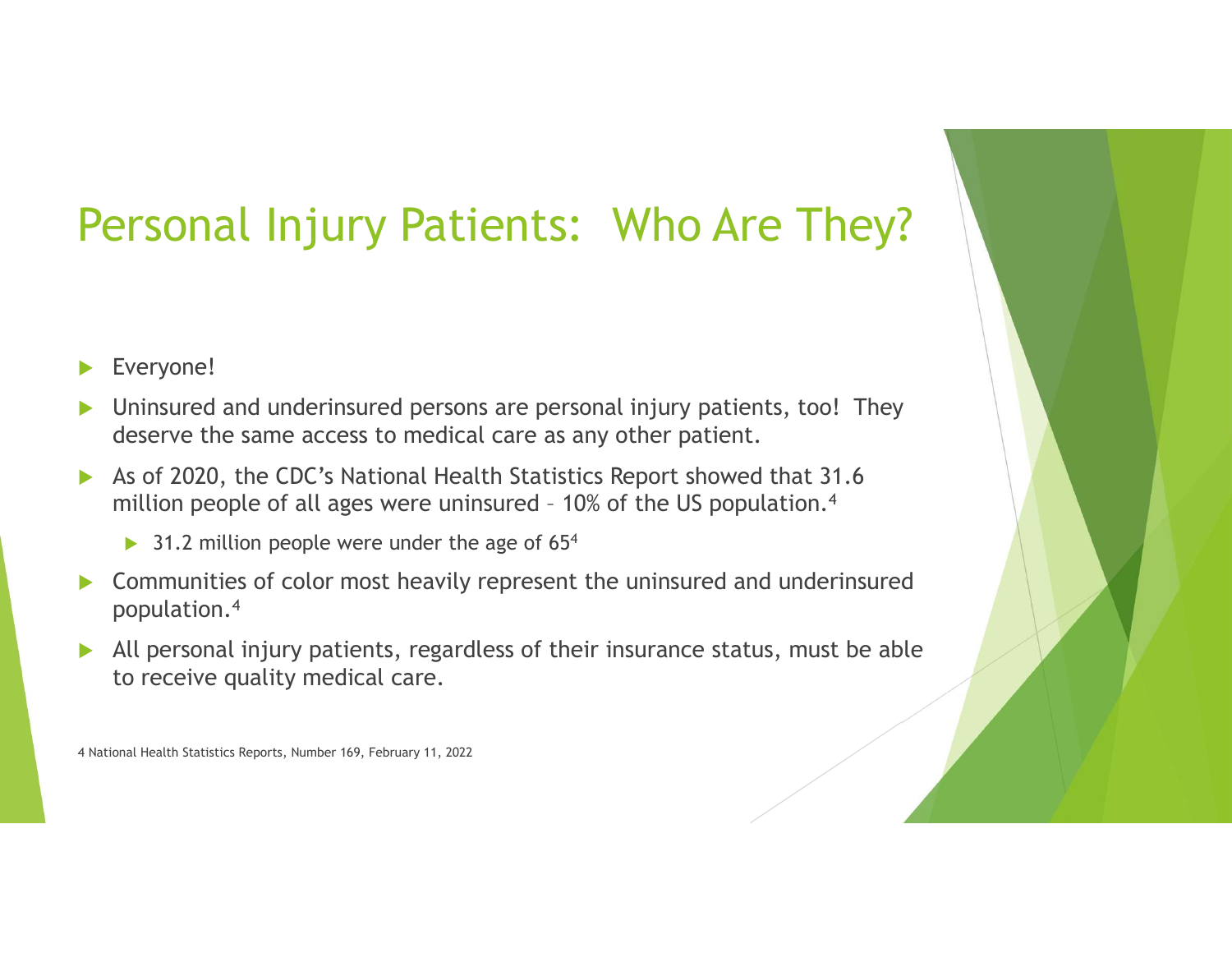# Personal Injury Patients: Who Are They?

Everyone!

- Uninsured and underinsured persons are personal injury patients, too! They deserve the same access to medical care as any other patient. **Exeryonal Injury Patients: Who Are They?**<br>
Everyone!<br>
Uninsured and underinsured persons are personal injury patients, too! They<br>
deserve the same access to medical care as any other patient.<br>
As of 2020, the CDC's Nation
- As of 2020, the CDC's National Health Statistics Report showed that 31.6
	- $\triangleright$  31.2 million people were under the age of 65<sup>4</sup>
- ▶ Communities of color most heavily represent the uninsured and underinsured population.4
- All personal injury patients, regardless of their insurance status, must be able to receive quality medical care.

4 National Health Statistics Reports, Number 169, February 11, 2022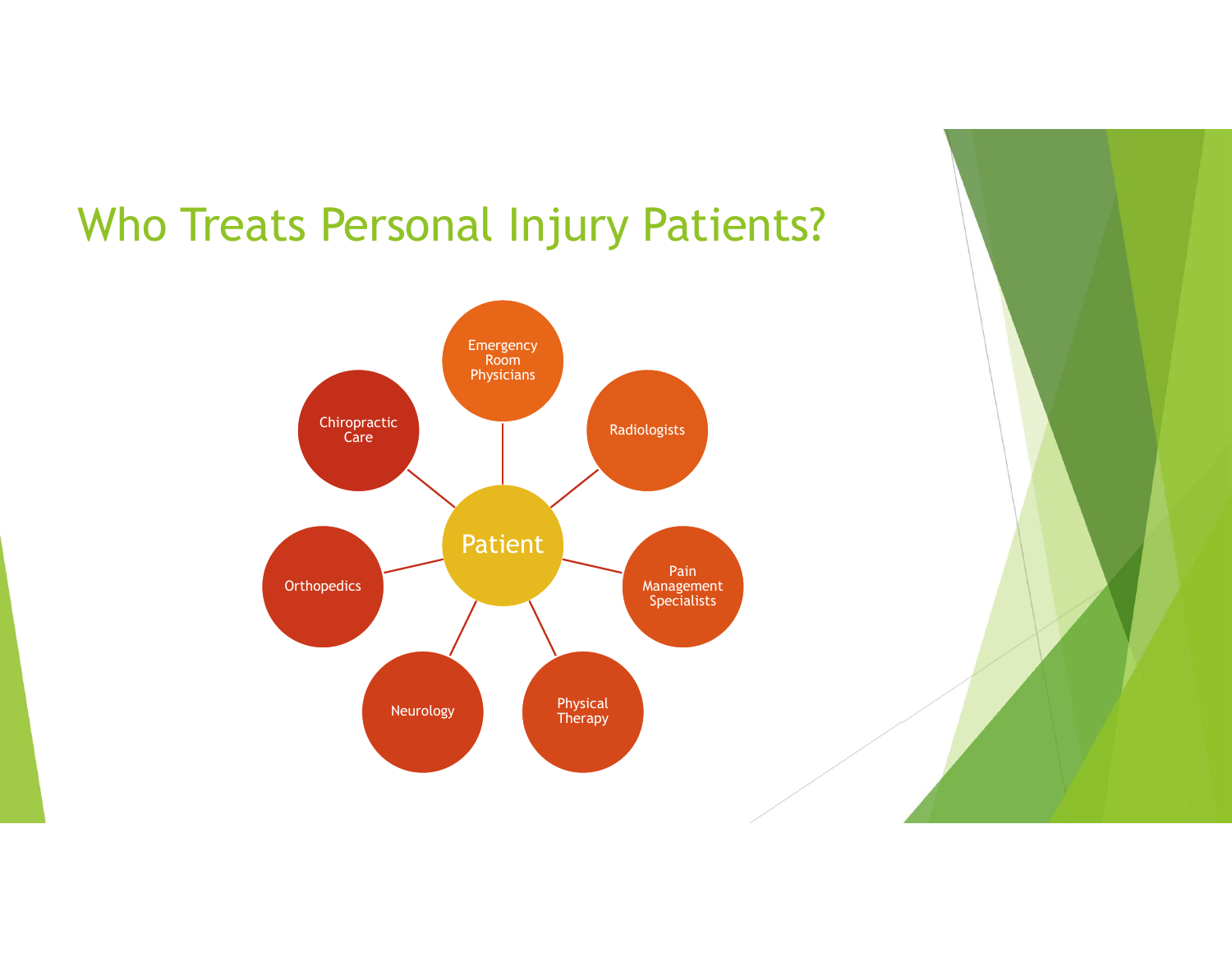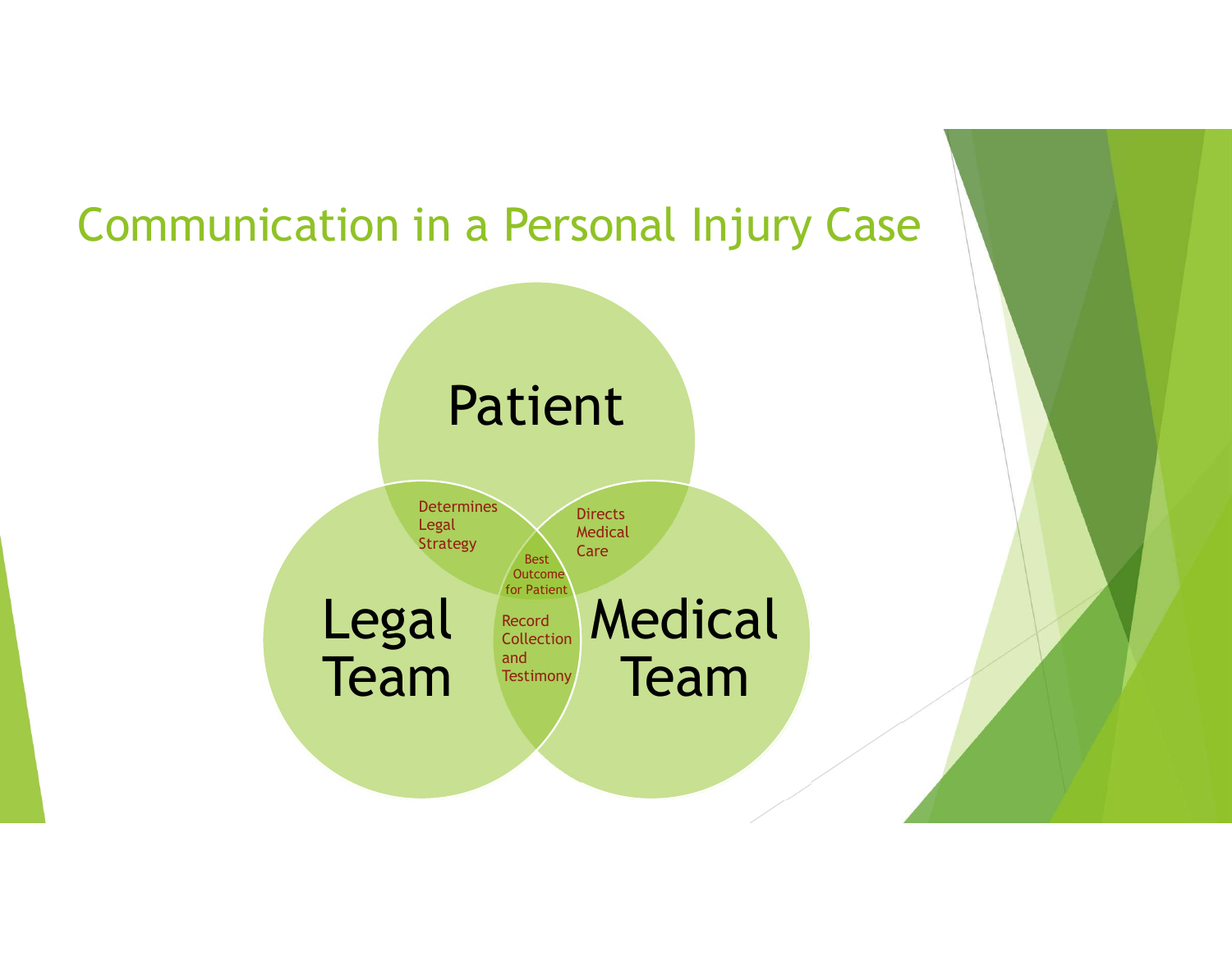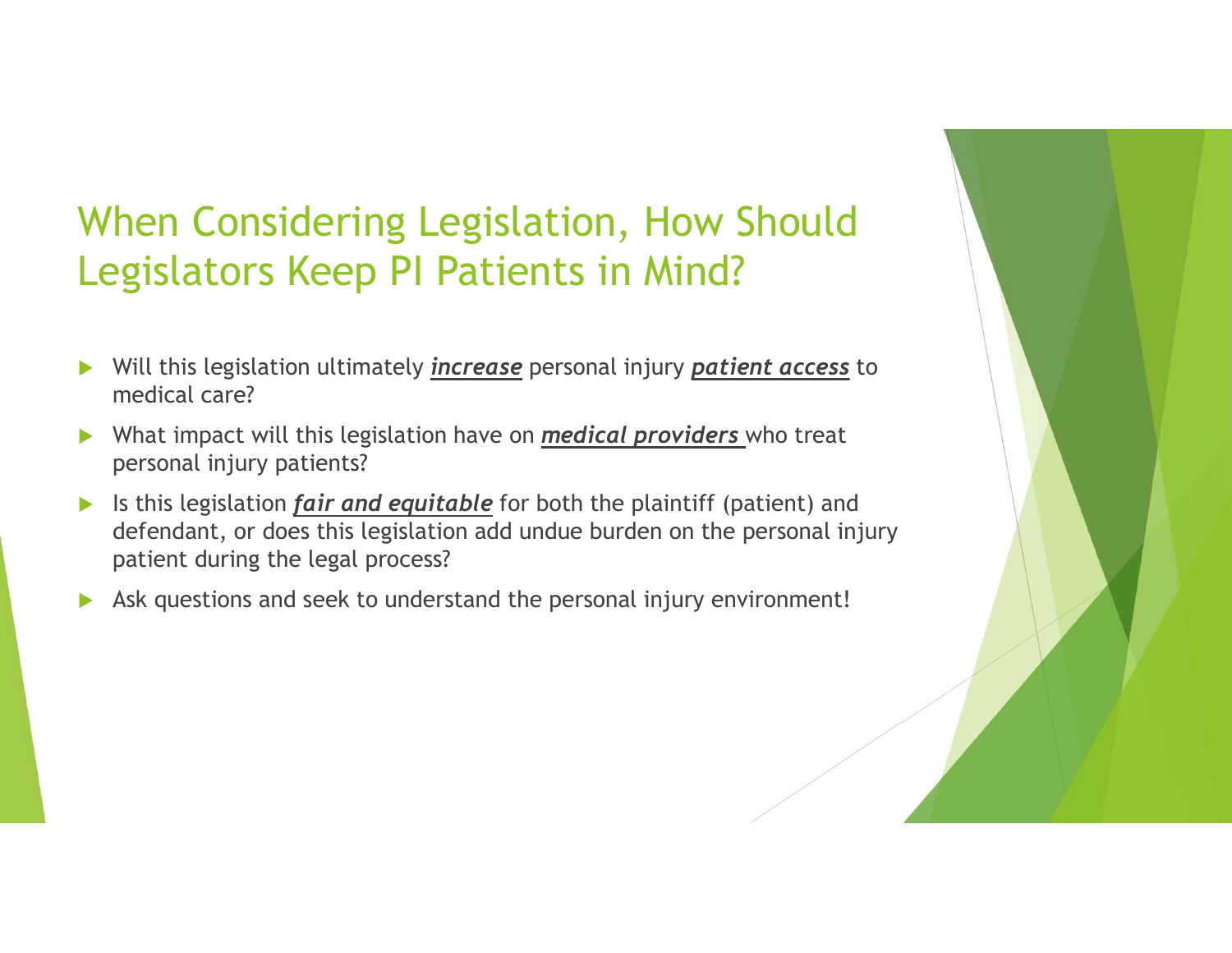### When Considering Legislation, How Should Legislators Keep PI Patients in Mind?

- Will this legislation ultimately *increase* personal injury *patient access* to medical care?
- $\triangleright$  What impact will this legislation have on *medical providers* who treat personal injury patients?
- If is this legislation *fair and equitable* for both the plaintiff (patient) and defendant, or does this legislation add undue burden on the personal injury patient during the legal process?
- Ask questions and seek to understand the personal injury environment!